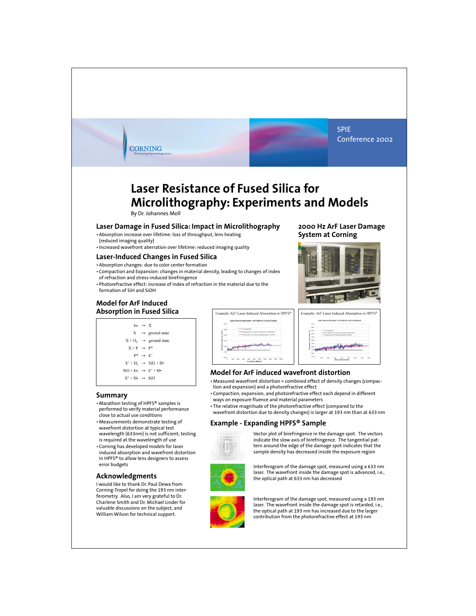SPIE Conference 2002



By Dr. Johannes Moll

**CORNING** 

### **Laser Damage in Fused Silica: Impact in Microlithography**

- Absorption increase over lifetime: loss of throughput, lens heating (reduced imaging quality)
- Increased wavefront aberration over lifetime: reduced imaging quality

#### **Laser-Induced Changes in Fused Silica**

- Absorption changes: due to color center formation
- Compaction and Expansion: changes in material density, leading to changes of index of refraction and stress-induced birefringence
- Photorefractive effect: increase of index of refraction in the material due to the formation of SiH and SiOH

## **Model for ArF Induced Absorption in Fused Silica**



### **Summary**

- Marathon testing of HPFS® samples is performed to verify material performance close to actual use conditions
- Measurements demonstrate testing of wavefront distortion at typical test wavelength (633nm) is not sufficient; testing is required at the wavelength of use
- Corning has developed models for laser induced absorption and wavefront distortion in HPFS® to allow lens designers to assess error budgets

# **Acknowledgments**

I would like to thank Dr. Paul Dewa from Corning-Tropel for doing the 193 nm interferometry. Also, I am very grateful to Dr. Charlene Smith and Dr. Michael Linder for valuable discussions on the subject, and William Wilson for technical support.

| - in-stu sbacrotion<br>1.004<br><b>Tices</b><br>initial absorption inc exposure, measured on spectromater)<br>Conting model for KrT leser induced absorption in HPFSB<br>s on<br>š |  |
|------------------------------------------------------------------------------------------------------------------------------------------------------------------------------------|--|
| 0.002<br>ğ<br>100                                                                                                                                                                  |  |

## **Model for ArF induced wavefront distortion**

- Measured wavefront distortion = combined effect of density changes (compaction and expansion) and a photorefractive effect
- Compaction, expansion, and photorefractive effect each depend in different ways on exposure fluence and material parameters
- The relative magnitude of the photorefractive effect (compared to the
- wavefront distortion due to density changes) is larger at 193 nm than at 633 nm

## **Example - Expanding HPFS® Sample**



Vector plot of birefringence in the damage spot. The vectors indicate the slow axis of birefringence. The tangential pattern around the edge of the damage spot indicates that the sample density has decreased inside the exposure region



Interferogram of the damage spot, measured using a 633 nm laser. The wavefront inside the damage spot is advanced, i.e., the optical path at 633 nm has decreased



Interferogram of the damage spot, measured using a 193 nm laser. The wavefront inside the damage spot is retarded, i.e., the optical path at 193 nm has increased due to the larger contribution from the photorefractive effect at 193 nm

### **2000 Hz ArF Laser Damage System at Corning**